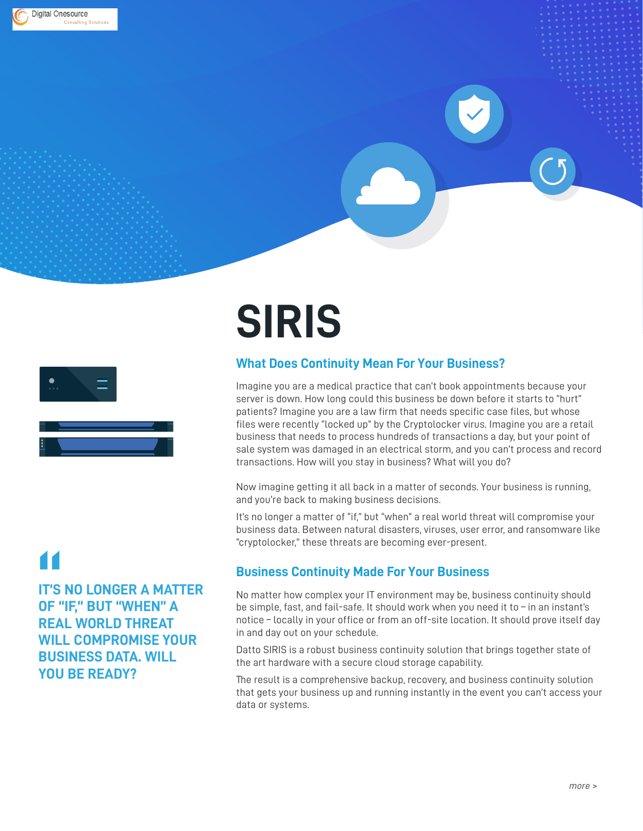

# **SIRIS**

 $\overline{\phantom{a}}$ 

# **What Does Continuity Mean For Your Business?**

Imagine you are a medical practice that can't book appointments because your server is down. How long could this business be down before it starts to "hurt" patients? Imagine you are a law firm that needs specific case files, but whose files were recently "locked up" by the Cryptolocker virus. Imagine you are a retail business that needs to process hundreds of transactions a day, but your point of sale system was damaged in an electrical storm, and you can't process and record transactions. How will you stay in business? What will you do?

Now imagine getting it all back in a matter of seconds. Your business is running, and you're back to making business decisions.

It's no longer a matter of "if," but "when" a real world threat will compromise your business data. Between natural disasters, viruses, user error, and ransomware like "cryptolocker," these threats are becoming ever-present.

# **Business Continuity Made For Your Business**

No matter how complex your IT environment may be, business continuity should be simple, fast, and fail-safe. It should work when you need it to – in an instant's notice – locally in your office or from an off-site location. It should prove itself day in and day out on your schedule.

Datto SIRIS is a robust business continuity solution that brings together state of the art hardware with a secure cloud storage capability.

The result is a comprehensive backup, recovery, and business continuity solution that gets your business up and running instantly in the event you can't access your data or systems.

**IT'S NO LONGER A MATTER OF "IF," BUT "WHEN" A REAL WORLD THREAT WILL COMPROMISE YOUR BUSINESS DATA. WILL YOU BE READY? 11**<br>IT'S<br>OF !